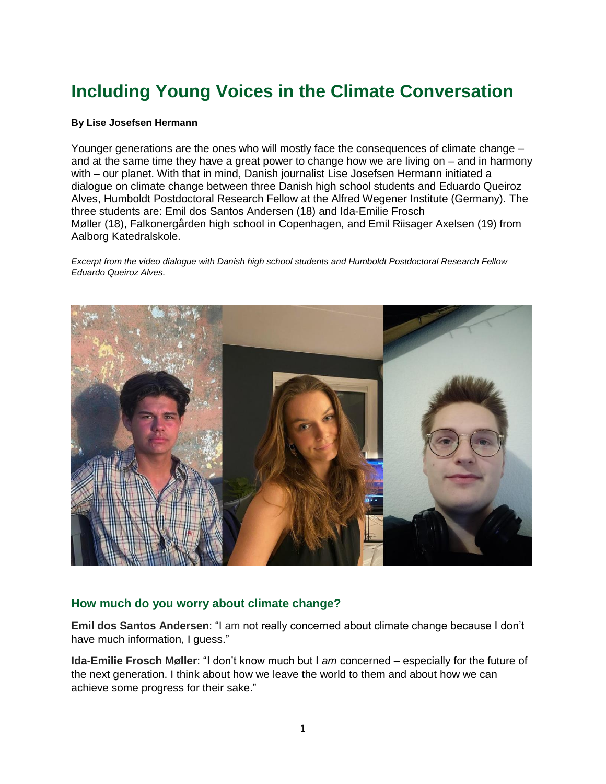# **Including Young Voices in the Climate Conversation**

#### **By Lise Josefsen Hermann**

Younger generations are the ones who will mostly face the consequences of climate change – and at the same time they have a great power to change how we are living on – and in harmony with – our planet. With that in mind, Danish journalist Lise Josefsen Hermann initiated a dialogue on climate change between three Danish high school students and Eduardo Queiroz Alves, Humboldt Postdoctoral Research Fellow at the Alfred Wegener Institute (Germany). The three students are: Emil dos Santos Andersen (18) and Ida-Emilie Frosch Møller (18), Falkonergården high school in Copenhagen, and Emil Riisager Axelsen (19) from Aalborg Katedralskole.

*Excerpt from the video dialogue with Danish high school students and Humboldt Postdoctoral Research Fellow Eduardo Queiroz Alves.*



#### **How much do you worry about climate change?**

**Emil dos Santos Andersen**: "I am not really concerned about climate change because I don't have much information, I guess."

**Ida-Emilie Frosch Møller**: "I don't know much but I *am* concerned – especially for the future of the next generation. I think about how we leave the world to them and about how we can achieve some progress for their sake."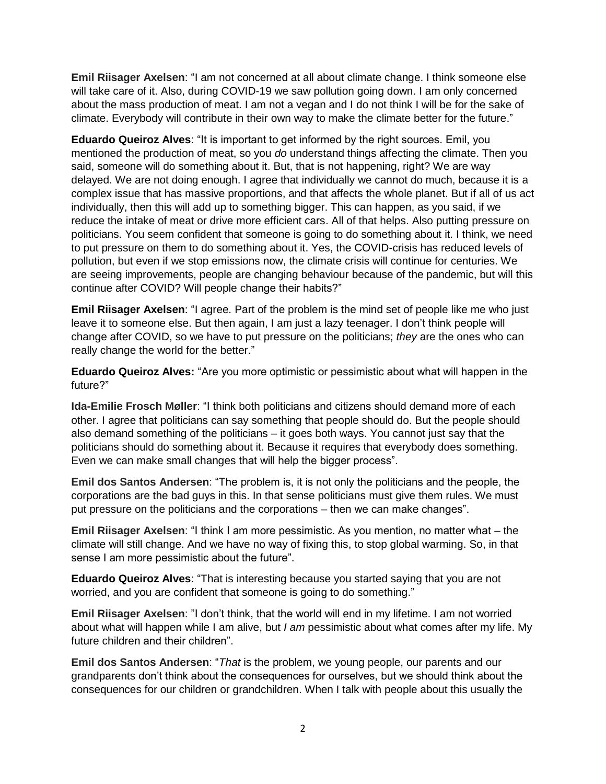**Emil Riisager Axelsen**: "I am not concerned at all about climate change. I think someone else will take care of it. Also, during COVID-19 we saw pollution going down. I am only concerned about the mass production of meat. I am not a vegan and I do not think I will be for the sake of climate. Everybody will contribute in their own way to make the climate better for the future."

**Eduardo Queiroz Alves**: "It is important to get informed by the right sources. Emil, you mentioned the production of meat, so you *do* understand things affecting the climate. Then you said, someone will do something about it. But, that is not happening, right? We are way delayed. We are not doing enough. I agree that individually we cannot do much, because it is a complex issue that has massive proportions, and that affects the whole planet. But if all of us act individually, then this will add up to something bigger. This can happen, as you said, if we reduce the intake of meat or drive more efficient cars. All of that helps. Also putting pressure on politicians. You seem confident that someone is going to do something about it. I think, we need to put pressure on them to do something about it. Yes, the COVID-crisis has reduced levels of pollution, but even if we stop emissions now, the climate crisis will continue for centuries. We are seeing improvements, people are changing behaviour because of the pandemic, but will this continue after COVID? Will people change their habits?"

**Emil Riisager Axelsen**: "I agree. Part of the problem is the mind set of people like me who just leave it to someone else. But then again, I am just a lazy teenager. I don't think people will change after COVID, so we have to put pressure on the politicians; *they* are the ones who can really change the world for the better."

**Eduardo Queiroz Alves:** "Are you more optimistic or pessimistic about what will happen in the future?"

**Ida-Emilie Frosch Møller**: "I think both politicians and citizens should demand more of each other. I agree that politicians can say something that people should do. But the people should also demand something of the politicians – it goes both ways. You cannot just say that the politicians should do something about it. Because it requires that everybody does something. Even we can make small changes that will help the bigger process".

**Emil dos Santos Andersen**: "The problem is, it is not only the politicians and the people, the corporations are the bad guys in this. In that sense politicians must give them rules. We must put pressure on the politicians and the corporations – then we can make changes".

**Emil Riisager Axelsen**: "I think I am more pessimistic. As you mention, no matter what – the climate will still change. And we have no way of fixing this, to stop global warming. So, in that sense I am more pessimistic about the future".

**Eduardo Queiroz Alves**: "That is interesting because you started saying that you are not worried, and you are confident that someone is going to do something."

**Emil Riisager Axelsen**: "I don't think, that the world will end in my lifetime. I am not worried about what will happen while I am alive, but *I am* pessimistic about what comes after my life. My future children and their children".

**Emil dos Santos Andersen**: "*That* is the problem, we young people, our parents and our grandparents don't think about the consequences for ourselves, but we should think about the consequences for our children or grandchildren. When I talk with people about this usually the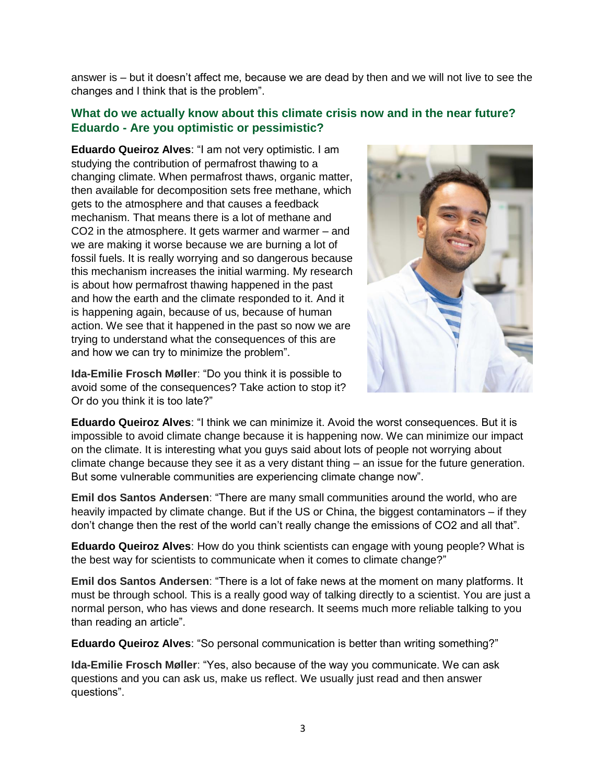answer is – but it doesn't affect me, because we are dead by then and we will not live to see the changes and I think that is the problem".

# **What do we actually know about this climate crisis now and in the near future? Eduardo - Are you optimistic or pessimistic?**

**Eduardo Queiroz Alves**: "I am not very optimistic. I am studying the contribution of permafrost thawing to a changing climate. When permafrost thaws, organic matter, then available for decomposition sets free methane, which gets to the atmosphere and that causes a feedback mechanism. That means there is a lot of methane and CO2 in the atmosphere. It gets warmer and warmer – and we are making it worse because we are burning a lot of fossil fuels. It is really worrying and so dangerous because this mechanism increases the initial warming. My research is about how permafrost thawing happened in the past and how the earth and the climate responded to it. And it is happening again, because of us, because of human action. We see that it happened in the past so now we are trying to understand what the consequences of this are and how we can try to minimize the problem".

**Ida-Emilie Frosch Møller**: "Do you think it is possible to avoid some of the consequences? Take action to stop it? Or do you think it is too late?"



**Eduardo Queiroz Alves**: "I think we can minimize it. Avoid the worst consequences. But it is impossible to avoid climate change because it is happening now. We can minimize our impact on the climate. It is interesting what you guys said about lots of people not worrying about climate change because they see it as a very distant thing – an issue for the future generation. But some vulnerable communities are experiencing climate change now".

**Emil dos Santos Andersen**: "There are many small communities around the world, who are heavily impacted by climate change. But if the US or China, the biggest contaminators – if they don't change then the rest of the world can't really change the emissions of CO2 and all that".

**Eduardo Queiroz Alves**: How do you think scientists can engage with young people? What is the best way for scientists to communicate when it comes to climate change?"

**Emil dos Santos Andersen**: "There is a lot of fake news at the moment on many platforms. It must be through school. This is a really good way of talking directly to a scientist. You are just a normal person, who has views and done research. It seems much more reliable talking to you than reading an article".

**Eduardo Queiroz Alves**: "So personal communication is better than writing something?"

**Ida-Emilie Frosch Møller**: "Yes, also because of the way you communicate. We can ask questions and you can ask us, make us reflect. We usually just read and then answer questions".